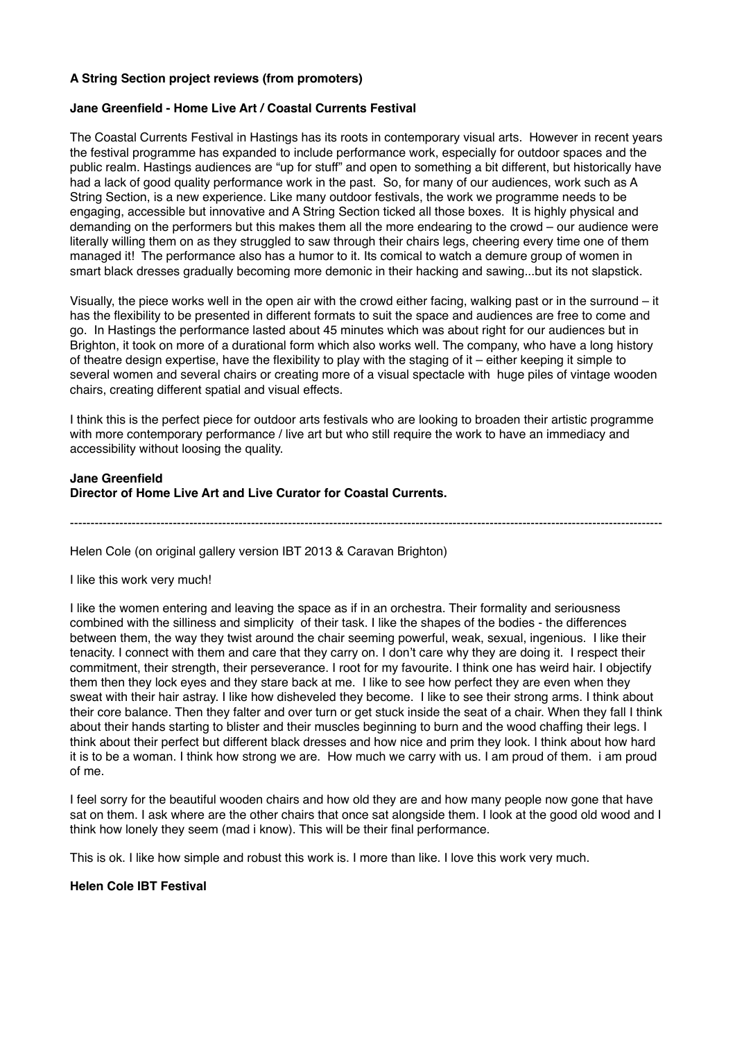## **A String Section project reviews (from promoters)**

#### **Jane Greenfield - Home Live Art / Coastal Currents Festival**

The Coastal Currents Festival in Hastings has its roots in contemporary visual arts. However in recent years the festival programme has expanded to include performance work, especially for outdoor spaces and the public realm. Hastings audiences are "up for stuff" and open to something a bit different, but historically have had a lack of good quality performance work in the past. So, for many of our audiences, work such as A String Section, is a new experience. Like many outdoor festivals, the work we programme needs to be engaging, accessible but innovative and A String Section ticked all those boxes. It is highly physical and demanding on the performers but this makes them all the more endearing to the crowd – our audience were literally willing them on as they struggled to saw through their chairs legs, cheering every time one of them managed it! The performance also has a humor to it. Its comical to watch a demure group of women in smart black dresses gradually becoming more demonic in their hacking and sawing...but its not slapstick.

Visually, the piece works well in the open air with the crowd either facing, walking past or in the surround – it has the flexibility to be presented in different formats to suit the space and audiences are free to come and go. In Hastings the performance lasted about 45 minutes which was about right for our audiences but in Brighton, it took on more of a durational form which also works well. The company, who have a long history of theatre design expertise, have the flexibility to play with the staging of it – either keeping it simple to several women and several chairs or creating more of a visual spectacle with huge piles of vintage wooden chairs, creating different spatial and visual effects.

I think this is the perfect piece for outdoor arts festivals who are looking to broaden their artistic programme with more contemporary performance / live art but who still require the work to have an immediacy and accessibility without loosing the quality.

#### **Jane Greenfield Director of Home Live Art and Live Curator for Coastal Currents.**

------------------------------------------------------------------------------------------------------------------------------------------------

Helen Cole (on original gallery version IBT 2013 & Caravan Brighton)

I like this work very much!

I like the women entering and leaving the space as if in an orchestra. Their formality and seriousness combined with the silliness and simplicity of their task. I like the shapes of the bodies - the differences between them, the way they twist around the chair seeming powerful, weak, sexual, ingenious. I like their tenacity. I connect with them and care that they carry on. I don't care why they are doing it. I respect their commitment, their strength, their perseverance. I root for my favourite. I think one has weird hair. I objectify them then they lock eyes and they stare back at me. I like to see how perfect they are even when they sweat with their hair astray. I like how disheveled they become. I like to see their strong arms. I think about their core balance. Then they falter and over turn or get stuck inside the seat of a chair. When they fall I think about their hands starting to blister and their muscles beginning to burn and the wood chaffing their legs. I think about their perfect but different black dresses and how nice and prim they look. I think about how hard it is to be a woman. I think how strong we are. How much we carry with us. I am proud of them. i am proud of me.

I feel sorry for the beautiful wooden chairs and how old they are and how many people now gone that have sat on them. I ask where are the other chairs that once sat alongside them. I look at the good old wood and I think how lonely they seem (mad i know). This will be their final performance.

This is ok. I like how simple and robust this work is. I more than like. I love this work very much.

## **Helen Cole IBT Festival**